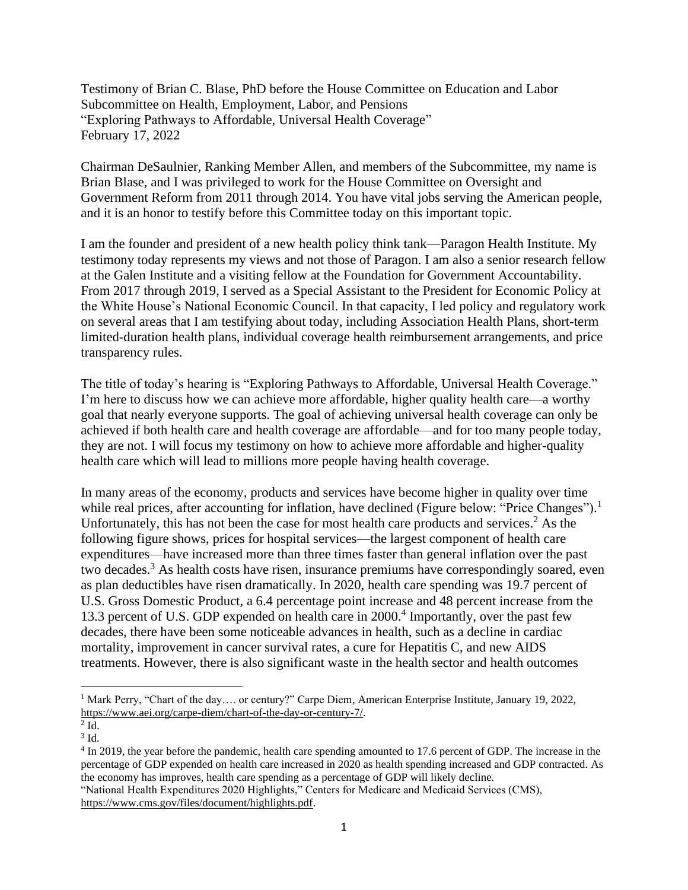Testimony of Brian C. Blase, PhD before the House Committee on Education and Labor Subcommittee on Health, Employment, Labor, and Pensions "Exploring Pathways to Affordable, Universal Health Coverage" February 17, 2022

Chairman DeSaulnier, Ranking Member Allen, and members of the Subcommittee, my name is Brian Blase, and I was privileged to work for the House Committee on Oversight and Government Reform from 2011 through 2014. You have vital jobs serving the American people, and it is an honor to testify before this Committee today on this important topic.

I am the founder and president of a new health policy think tank—Paragon Health Institute. My testimony today represents my views and not those of Paragon. I am also a senior research fellow at the Galen Institute and a visiting fellow at the Foundation for Government Accountability. From 2017 through 2019, I served as a Special Assistant to the President for Economic Policy at the White House's National Economic Council. In that capacity, I led policy and regulatory work on several areas that I am testifying about today, including Association Health Plans, short-term limited-duration health plans, individual coverage health reimbursement arrangements, and price transparency rules.

The title of today's hearing is "Exploring Pathways to Affordable, Universal Health Coverage." I'm here to discuss how we can achieve more affordable, higher quality health care—a worthy goal that nearly everyone supports. The goal of achieving universal health coverage can only be achieved if both health care and health coverage are affordable—and for too many people today, they are not. I will focus my testimony on how to achieve more affordable and higher-quality health care which will lead to millions more people having health coverage.

In many areas of the economy, products and services have become higher in quality over time while real prices, after accounting for inflation, have declined (Figure below: "Price Changes").<sup>1</sup> Unfortunately, this has not been the case for most health care products and services.<sup>2</sup> As the following figure shows, prices for hospital services—the largest component of health care expenditures—have increased more than three times faster than general inflation over the past two decades.<sup>3</sup> As health costs have risen, insurance premiums have correspondingly soared, even as plan deductibles have risen dramatically. In 2020, health care spending was 19.7 percent of U.S. Gross Domestic Product, a 6.4 percentage point increase and 48 percent increase from the 13.3 percent of U.S. GDP expended on health care in 2000.<sup>4</sup> Importantly, over the past few decades, there have been some noticeable advances in health, such as a decline in cardiac mortality, improvement in cancer survival rates, a cure for Hepatitis C, and new AIDS treatments. However, there is also significant waste in the health sector and health outcomes

<sup>4</sup> In 2019, the year before the pandemic, health care spending amounted to 17.6 percent of GDP. The increase in the percentage of GDP expended on health care increased in 2020 as health spending increased and GDP contracted. As the economy has improves, health care spending as a percentage of GDP will likely decline.

"National Health Expenditures 2020 Highlights," Centers for Medicare and Medicaid Services (CMS), [https://www.cms.gov/files/document/highlights.pdf.](https://www.cms.gov/files/document/highlights.pdf)

<sup>&</sup>lt;sup>1</sup> Mark Perry, "Chart of the day.... or century?" Carpe Diem, American Enterprise Institute, January 19, 2022, [https://www.aei.org/carpe-diem/chart-of-the-day-or-century-7/.](https://www.aei.org/carpe-diem/chart-of-the-day-or-century-7/)

 $2$  Id.

 $3$  Id.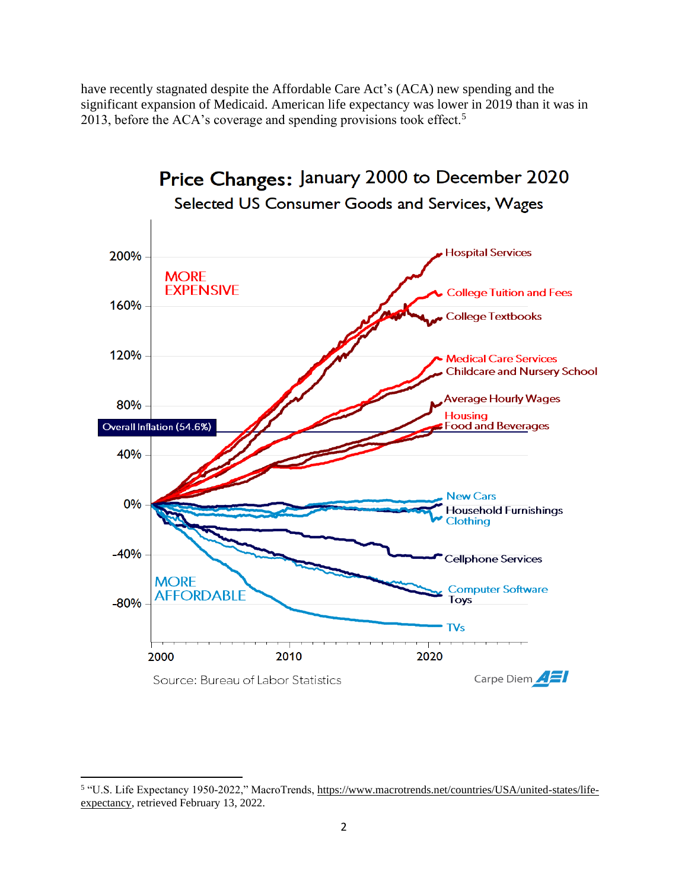have recently stagnated despite the Affordable Care Act's (ACA) new spending and the significant expansion of Medicaid. American life expectancy was lower in 2019 than it was in 2013, before the ACA's coverage and spending provisions took effect.<sup>5</sup>



<sup>&</sup>lt;sup>5</sup> "U.S. Life Expectancy 1950-2022," MacroTrends, [https://www.macrotrends.net/countries/USA/united-states/life](https://www.macrotrends.net/countries/USA/united-states/life-expectancy)[expectancy,](https://www.macrotrends.net/countries/USA/united-states/life-expectancy) retrieved February 13, 2022.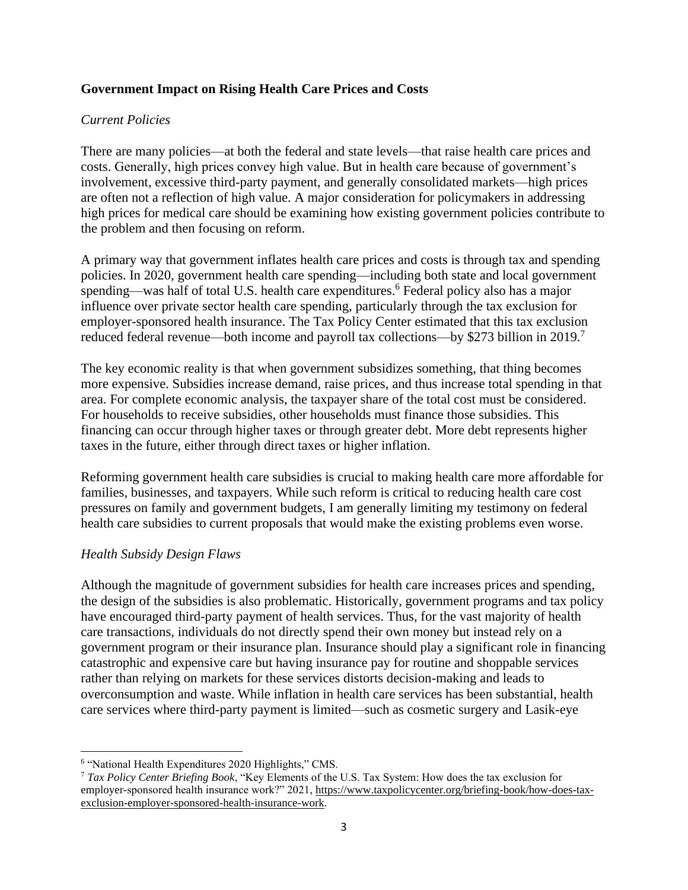## **Government Impact on Rising Health Care Prices and Costs**

### *Current Policies*

There are many policies—at both the federal and state levels—that raise health care prices and costs. Generally, high prices convey high value. But in health care because of government's involvement, excessive third-party payment, and generally consolidated markets—high prices are often not a reflection of high value. A major consideration for policymakers in addressing high prices for medical care should be examining how existing government policies contribute to the problem and then focusing on reform.

A primary way that government inflates health care prices and costs is through tax and spending policies. In 2020, government health care spending—including both state and local government spending—was half of total U.S. health care expenditures. <sup>6</sup> Federal policy also has a major influence over private sector health care spending, particularly through the tax exclusion for employer-sponsored health insurance. The Tax Policy Center estimated that this tax exclusion reduced federal revenue—both income and payroll tax collections—by \$273 billion in 2019.<sup>7</sup>

The key economic reality is that when government subsidizes something, that thing becomes more expensive. Subsidies increase demand, raise prices, and thus increase total spending in that area. For complete economic analysis, the taxpayer share of the total cost must be considered. For households to receive subsidies, other households must finance those subsidies. This financing can occur through higher taxes or through greater debt. More debt represents higher taxes in the future, either through direct taxes or higher inflation.

Reforming government health care subsidies is crucial to making health care more affordable for families, businesses, and taxpayers. While such reform is critical to reducing health care cost pressures on family and government budgets, I am generally limiting my testimony on federal health care subsidies to current proposals that would make the existing problems even worse.

## *Health Subsidy Design Flaws*

Although the magnitude of government subsidies for health care increases prices and spending, the design of the subsidies is also problematic. Historically, government programs and tax policy have encouraged third-party payment of health services. Thus, for the vast majority of health care transactions, individuals do not directly spend their own money but instead rely on a government program or their insurance plan. Insurance should play a significant role in financing catastrophic and expensive care but having insurance pay for routine and shoppable services rather than relying on markets for these services distorts decision-making and leads to overconsumption and waste. While inflation in health care services has been substantial, health care services where third-party payment is limited—such as cosmetic surgery and Lasik-eye

<sup>&</sup>lt;sup>6</sup> "National Health Expenditures 2020 Highlights," CMS.

<sup>7</sup> *Tax Policy Center Briefing Book*, "Key Elements of the U.S. Tax System: How does the tax exclusion for employer-sponsored health insurance work?" 2021, [https://www.taxpolicycenter.org/briefing-book/how-does-tax](https://www.taxpolicycenter.org/briefing-book/how-does-tax-exclusion-employer-sponsored-health-insurance-work)[exclusion-employer-sponsored-health-insurance-work.](https://www.taxpolicycenter.org/briefing-book/how-does-tax-exclusion-employer-sponsored-health-insurance-work)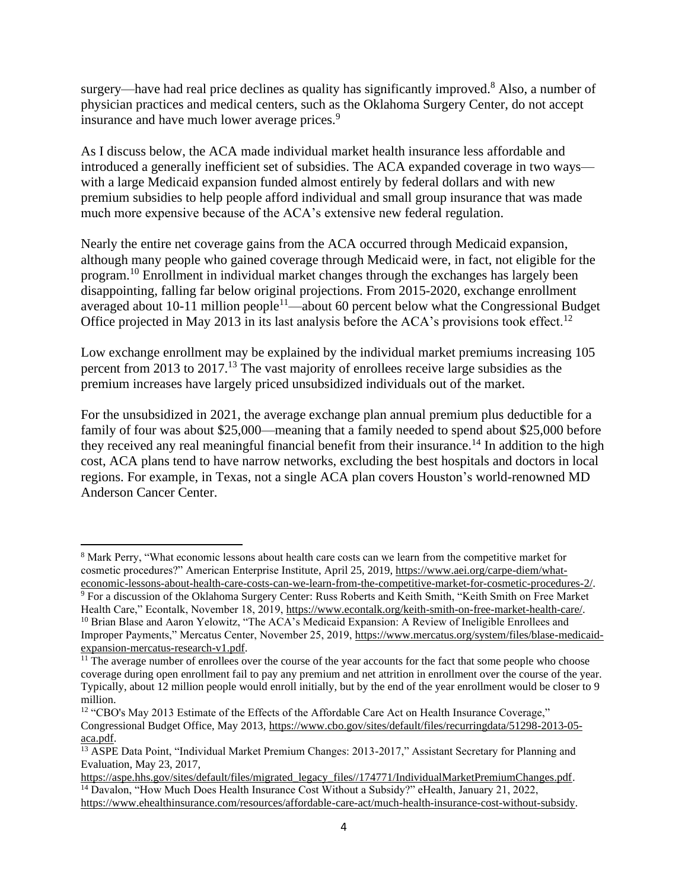surgery—have had real price declines as quality has significantly improved.<sup>8</sup> Also, a number of physician practices and medical centers, such as the Oklahoma Surgery Center, do not accept insurance and have much lower average prices.<sup>9</sup>

As I discuss below, the ACA made individual market health insurance less affordable and introduced a generally inefficient set of subsidies. The ACA expanded coverage in two ways with a large Medicaid expansion funded almost entirely by federal dollars and with new premium subsidies to help people afford individual and small group insurance that was made much more expensive because of the ACA's extensive new federal regulation.

Nearly the entire net coverage gains from the ACA occurred through Medicaid expansion, although many people who gained coverage through Medicaid were, in fact, not eligible for the program.<sup>10</sup> Enrollment in individual market changes through the exchanges has largely been disappointing, falling far below original projections. From 2015-2020, exchange enrollment averaged about 10-11 million people<sup>11</sup>—about 60 percent below what the Congressional Budget Office projected in May 2013 in its last analysis before the ACA's provisions took effect.<sup>12</sup>

Low exchange enrollment may be explained by the individual market premiums increasing 105 percent from 2013 to 2017.<sup>13</sup> The vast majority of enrollees receive large subsidies as the premium increases have largely priced unsubsidized individuals out of the market.

For the unsubsidized in 2021, the average exchange plan annual premium plus deductible for a family of four was about \$25,000—meaning that a family needed to spend about \$25,000 before they received any real meaningful financial benefit from their insurance.<sup>14</sup> In addition to the high cost, ACA plans tend to have narrow networks, excluding the best hospitals and doctors in local regions. For example, in Texas, not a single ACA plan covers Houston's world-renowned MD Anderson Cancer Center.

<sup>8</sup> Mark Perry, "What economic lessons about health care costs can we learn from the competitive market for cosmetic procedures?" American Enterprise Institute, April 25, 2019, [https://www.aei.org/carpe-diem/what](https://www.aei.org/carpe-diem/what-economic-lessons-about-health-care-costs-can-we-learn-from-the-competitive-market-for-cosmetic-procedures-2/)[economic-lessons-about-health-care-costs-can-we-learn-from-the-competitive-market-for-cosmetic-procedures-2/.](https://www.aei.org/carpe-diem/what-economic-lessons-about-health-care-costs-can-we-learn-from-the-competitive-market-for-cosmetic-procedures-2/)

<sup>9</sup> For a discussion of the Oklahoma Surgery Center: Russ Roberts and Keith Smith, "Keith Smith on Free Market Health Care," Econtalk, November 18, 2019[, https://www.econtalk.org/keith-smith-on-free-market-health-care/.](https://www.econtalk.org/keith-smith-on-free-market-health-care/) <sup>10</sup> Brian Blase and Aaron Yelowitz, "The ACA's Medicaid Expansion: A Review of Ineligible Enrollees and Improper Payments," Mercatus Center, November 25, 2019, [https://www.mercatus.org/system/files/blase-medicaid](https://www.mercatus.org/system/files/blase-medicaid-expansion-mercatus-research-v1.pdf)[expansion-mercatus-research-v1.pdf.](https://www.mercatus.org/system/files/blase-medicaid-expansion-mercatus-research-v1.pdf)

<sup>&</sup>lt;sup>11</sup> The average number of enrollees over the course of the year accounts for the fact that some people who choose coverage during open enrollment fail to pay any premium and net attrition in enrollment over the course of the year. Typically, about 12 million people would enroll initially, but by the end of the year enrollment would be closer to 9 million.

<sup>&</sup>lt;sup>12</sup> "CBO's May 2013 Estimate of the Effects of the Affordable Care Act on Health Insurance Coverage." Congressional Budget Office, May 2013, [https://www.cbo.gov/sites/default/files/recurringdata/51298-2013-05](https://www.cbo.gov/sites/default/files/recurringdata/51298-2013-05-aca.pdf) [aca.pdf.](https://www.cbo.gov/sites/default/files/recurringdata/51298-2013-05-aca.pdf)

<sup>13</sup> ASPE Data Point, "Individual Market Premium Changes: 2013-2017," Assistant Secretary for Planning and Evaluation, May 23, 2017,

[https://aspe.hhs.gov/sites/default/files/migrated\\_legacy\\_files//174771/IndividualMarketPremiumChanges.pdf.](https://aspe.hhs.gov/sites/default/files/migrated_legacy_files/174771/IndividualMarketPremiumChanges.pdf) <sup>14</sup> Davalon, "How Much Does Health Insurance Cost Without a Subsidy?" eHealth, January 21, 2022, [https://www.ehealthinsurance.com/resources/affordable-care-act/much-health-insurance-cost-without-subsidy.](https://www.ehealthinsurance.com/resources/affordable-care-act/much-health-insurance-cost-without-subsidy)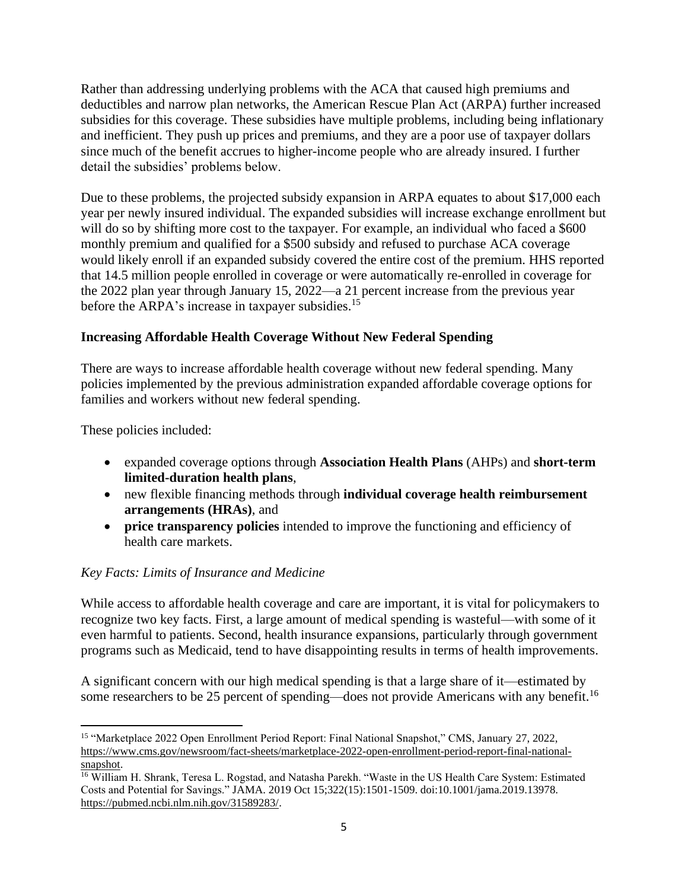Rather than addressing underlying problems with the ACA that caused high premiums and deductibles and narrow plan networks, the American Rescue Plan Act (ARPA) further increased subsidies for this coverage. These subsidies have multiple problems, including being inflationary and inefficient. They push up prices and premiums, and they are a poor use of taxpayer dollars since much of the benefit accrues to higher-income people who are already insured. I further detail the subsidies' problems below.

Due to these problems, the projected subsidy expansion in ARPA equates to about \$17,000 each year per newly insured individual. The expanded subsidies will increase exchange enrollment but will do so by shifting more cost to the taxpayer. For example, an individual who faced a \$600 monthly premium and qualified for a \$500 subsidy and refused to purchase ACA coverage would likely enroll if an expanded subsidy covered the entire cost of the premium. HHS reported that 14.5 million people enrolled in coverage or were automatically re-enrolled in coverage for the 2022 plan year through January 15, 2022—a 21 percent increase from the previous year before the ARPA's increase in taxpayer subsidies.<sup>15</sup>

# **Increasing Affordable Health Coverage Without New Federal Spending**

There are ways to increase affordable health coverage without new federal spending. Many policies implemented by the previous administration expanded affordable coverage options for families and workers without new federal spending.

These policies included:

- expanded coverage options through **Association Health Plans** (AHPs) and **short-term limited-duration health plans**,
- new flexible financing methods through **individual coverage health reimbursement arrangements (HRAs)**, and
- **price transparency policies** intended to improve the functioning and efficiency of health care markets.

## *Key Facts: Limits of Insurance and Medicine*

While access to affordable health coverage and care are important, it is vital for policymakers to recognize two key facts. First, a large amount of medical spending is wasteful—with some of it even harmful to patients. Second, health insurance expansions, particularly through government programs such as Medicaid, tend to have disappointing results in terms of health improvements.

A significant concern with our high medical spending is that a large share of it—estimated by some researchers to be 25 percent of spending—does not provide Americans with any benefit.<sup>16</sup>

<sup>15</sup> "Marketplace 2022 Open Enrollment Period Report: Final National Snapshot," CMS, January 27, 2022, [https://www.cms.gov/newsroom/fact-sheets/marketplace-2022-open-enrollment-period-report-final-national](https://www.cms.gov/newsroom/fact-sheets/marketplace-2022-open-enrollment-period-report-final-national-snapshot)[snapshot.](https://www.cms.gov/newsroom/fact-sheets/marketplace-2022-open-enrollment-period-report-final-national-snapshot)

<sup>&</sup>lt;sup>16</sup> William H. Shrank, Teresa L. Rogstad, and Natasha Parekh. "Waste in the US Health Care System: Estimated Costs and Potential for Savings." JAMA. 2019 Oct 15;322(15):1501-1509. doi:10.1001/jama.2019.13978. [https://pubmed.ncbi.nlm.nih.gov/31589283/.](https://pubmed.ncbi.nlm.nih.gov/31589283/)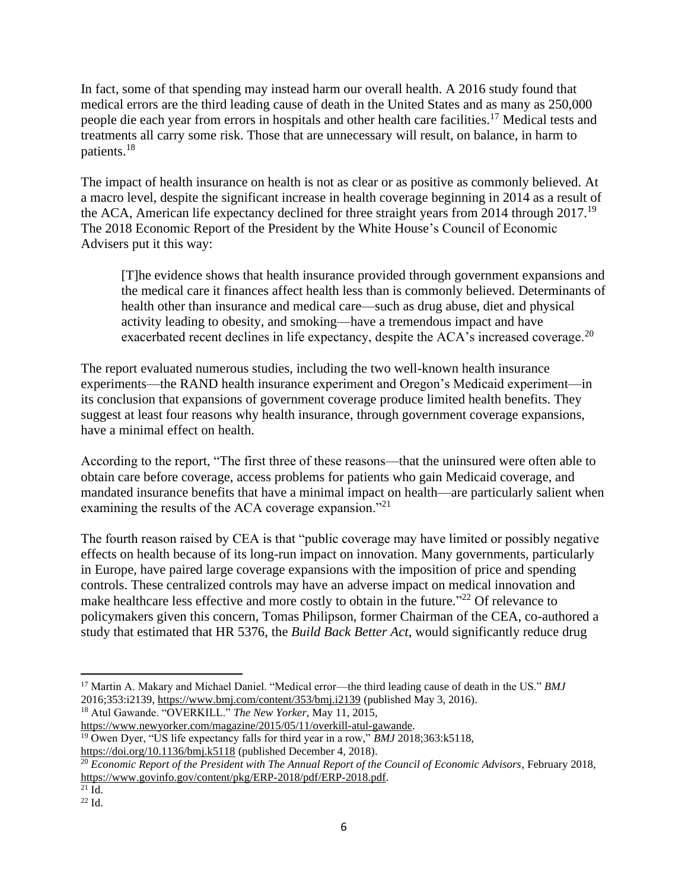In fact, some of that spending may instead harm our overall health. A 2016 study found that medical errors are the third leading cause of death in the United States and as many as 250,000 people die each year from errors in hospitals and other health care facilities.<sup>17</sup> Medical tests and treatments all carry some risk. Those that are unnecessary will result, on balance, in harm to patients.<sup>18</sup>

The impact of health insurance on health is not as clear or as positive as commonly believed. At a macro level, despite the significant increase in health coverage beginning in 2014 as a result of the ACA, American life expectancy declined for three straight years from 2014 through 2017.<sup>19</sup> The 2018 Economic Report of the President by the White House's Council of Economic Advisers put it this way:

[T]he evidence shows that health insurance provided through government expansions and the medical care it finances affect health less than is commonly believed. Determinants of health other than insurance and medical care—such as drug abuse, diet and physical activity leading to obesity, and smoking—have a tremendous impact and have exacerbated recent declines in life expectancy, despite the ACA's increased coverage.<sup>20</sup>

The report evaluated numerous studies, including the two well-known health insurance experiments—the RAND health insurance experiment and Oregon's Medicaid experiment—in its conclusion that expansions of government coverage produce limited health benefits. They suggest at least four reasons why health insurance, through government coverage expansions, have a minimal effect on health.

According to the report, "The first three of these reasons—that the uninsured were often able to obtain care before coverage, access problems for patients who gain Medicaid coverage, and mandated insurance benefits that have a minimal impact on health—are particularly salient when examining the results of the ACA coverage expansion."<sup>21</sup>

The fourth reason raised by CEA is that "public coverage may have limited or possibly negative effects on health because of its long-run impact on innovation. Many governments, particularly in Europe, have paired large coverage expansions with the imposition of price and spending controls. These centralized controls may have an adverse impact on medical innovation and make healthcare less effective and more costly to obtain in the future."<sup>22</sup> Of relevance to policymakers given this concern, Tomas Philipson, former Chairman of the CEA, co-authored a study that estimated that HR 5376, the *Build Back Better Act*, would significantly reduce drug

<sup>18</sup> Atul Gawande. "OVERKILL." *The New Yorker*, May 11, 2015,

<sup>17</sup> Martin A. Makary and Michael Daniel. "Medical error—the third leading cause of death in the US." *BMJ*  2016;353:i2139,<https://www.bmj.com/content/353/bmj.i2139> (published May 3, 2016).

[https://www.newyorker.com/magazine/2015/05/11/overkill-atul-gawande.](https://www.newyorker.com/magazine/2015/05/11/overkill-atul-gawande) <sup>19</sup> Owen Dyer, "US life expectancy falls for third year in a row," *BMJ* 2018;363:k5118, <https://doi.org/10.1136/bmj.k5118> (published December 4, 2018).

<sup>&</sup>lt;sup>20</sup> Economic Report of the President with The Annual Report of the Council of Economic Advisors, February 2018, [https://www.govinfo.gov/content/pkg/ERP-2018/pdf/ERP-2018.pdf.](https://www.govinfo.gov/content/pkg/ERP-2018/pdf/ERP-2018.pdf)

 $^{21}$  Id.

 $22$  Id.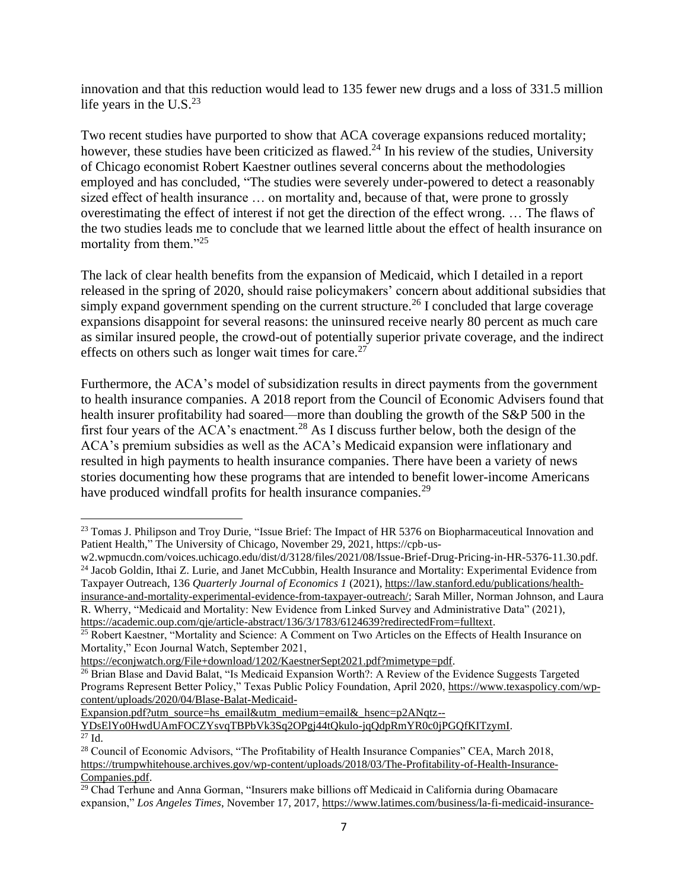innovation and that this reduction would lead to 135 fewer new drugs and a loss of 331.5 million life years in the U.S. $^{23}$ 

Two recent studies have purported to show that ACA coverage expansions reduced mortality; however, these studies have been criticized as flawed.<sup>24</sup> In his review of the studies, University of Chicago economist Robert Kaestner outlines several concerns about the methodologies employed and has concluded, "The studies were severely under-powered to detect a reasonably sized effect of health insurance … on mortality and, because of that, were prone to grossly overestimating the effect of interest if not get the direction of the effect wrong. … The flaws of the two studies leads me to conclude that we learned little about the effect of health insurance on mortality from them."<sup>25</sup>

The lack of clear health benefits from the expansion of Medicaid, which I detailed in a report released in the spring of 2020, should raise policymakers' concern about additional subsidies that simply expand government spending on the current structure.<sup>26</sup> I concluded that large coverage expansions disappoint for several reasons: the uninsured receive nearly 80 percent as much care as similar insured people, the crowd-out of potentially superior private coverage, and the indirect effects on others such as longer wait times for care.<sup>27</sup>

Furthermore, the ACA's model of subsidization results in direct payments from the government to health insurance companies. A 2018 report from the Council of Economic Advisers found that health insurer profitability had soared—more than doubling the growth of the S&P 500 in the first four years of the ACA's enactment.<sup>28</sup> As I discuss further below, both the design of the ACA's premium subsidies as well as the ACA's Medicaid expansion were inflationary and resulted in high payments to health insurance companies. There have been a variety of news stories documenting how these programs that are intended to benefit lower-income Americans have produced windfall profits for health insurance companies.<sup>29</sup>

[Expansion.pdf?utm\\_source=hs\\_email&utm\\_medium=email&\\_hsenc=p2ANqtz--](https://www.texaspolicy.com/wp-content/uploads/2020/04/Blase-Balat-Medicaid-Expansion.pdf?utm_source=hs_email&utm_medium=email&_hsenc=p2ANqtz--YDsElYo0HwdUAmFOCZYsvqTBPbVk3Sq2OPgj44tQkulo-jqQdpRmYR0c0jPGQfKITzymI)

[YDsElYo0HwdUAmFOCZYsvqTBPbVk3Sq2OPgj44tQkulo-jqQdpRmYR0c0jPGQfKITzymI.](https://www.texaspolicy.com/wp-content/uploads/2020/04/Blase-Balat-Medicaid-Expansion.pdf?utm_source=hs_email&utm_medium=email&_hsenc=p2ANqtz--YDsElYo0HwdUAmFOCZYsvqTBPbVk3Sq2OPgj44tQkulo-jqQdpRmYR0c0jPGQfKITzymI)  $^{27}$  Id.

<sup>&</sup>lt;sup>23</sup> Tomas J. Philipson and Troy Durie, "Issue Brief: The Impact of HR 5376 on Biopharmaceutical Innovation and Patient Health," The University of Chicago, November 29, 2021, https://cpb-us-

w2.wpmucdn.com/voices.uchicago.edu/dist/d/3128/files/2021/08/Issue-Brief-Drug-Pricing-in-HR-5376-11.30.pdf. <sup>24</sup> Jacob Goldin, Ithai Z. Lurie, and Janet McCubbin, Health Insurance and Mortality: Experimental Evidence from Taxpayer Outreach, 136 *Quarterly Journal of Economics 1* (2021), [https://law.stanford.edu/publications/health](https://law.stanford.edu/publications/health-insurance-and-mortality-experimental-evidence-from-taxpayer-outreach/)[insurance-and-mortality-experimental-evidence-from-taxpayer-outreach/;](https://law.stanford.edu/publications/health-insurance-and-mortality-experimental-evidence-from-taxpayer-outreach/) Sarah Miller, Norman Johnson, and Laura R. Wherry, "Medicaid and Mortality: New Evidence from Linked Survey and Administrative Data" (2021), [https://academic.oup.com/qje/article-abstract/136/3/1783/6124639?redirectedFrom=fulltext.](https://academic.oup.com/qje/article-abstract/136/3/1783/6124639?redirectedFrom=fulltext)

<sup>&</sup>lt;sup>25</sup> Robert Kaestner, "Mortality and Science: A Comment on Two Articles on the Effects of Health Insurance on Mortality," Econ Journal Watch, September 2021,

[https://econjwatch.org/File+download/1202/KaestnerSept2021.pdf?mimetype=pdf.](https://econjwatch.org/File+download/1202/KaestnerSept2021.pdf?mimetype=pdf)

<sup>&</sup>lt;sup>26</sup> Brian Blase and David Balat, "Is Medicaid Expansion Worth?: A Review of the Evidence Suggests Targeted Programs Represent Better Policy," Texas Public Policy Foundation, April 2020, [https://www.texaspolicy.com/wp](https://www.texaspolicy.com/wp-content/uploads/2020/04/Blase-Balat-Medicaid-Expansion.pdf?utm_source=hs_email&utm_medium=email&_hsenc=p2ANqtz--YDsElYo0HwdUAmFOCZYsvqTBPbVk3Sq2OPgj44tQkulo-jqQdpRmYR0c0jPGQfKITzymI)[content/uploads/2020/04/Blase-Balat-Medicaid-](https://www.texaspolicy.com/wp-content/uploads/2020/04/Blase-Balat-Medicaid-Expansion.pdf?utm_source=hs_email&utm_medium=email&_hsenc=p2ANqtz--YDsElYo0HwdUAmFOCZYsvqTBPbVk3Sq2OPgj44tQkulo-jqQdpRmYR0c0jPGQfKITzymI)

<sup>28</sup> Council of Economic Advisors, "The Profitability of Health Insurance Companies" CEA, March 2018, [https://trumpwhitehouse.archives.gov/wp-content/uploads/2018/03/The-Profitability-of-Health-Insurance-](https://trumpwhitehouse.archives.gov/wp-content/uploads/2018/03/The-Profitability-of-Health-Insurance-Companies.pdf)[Companies.pdf.](https://trumpwhitehouse.archives.gov/wp-content/uploads/2018/03/The-Profitability-of-Health-Insurance-Companies.pdf)

 $29$  Chad Terhune and Anna Gorman, "Insurers make billions off Medicaid in California during Obamacare expansion," *Los Angeles Times*, November 17, 2017, [https://www.latimes.com/business/la-fi-medicaid-insurance-](https://www.latimes.com/business/la-fi-medicaid-insurance-profits-20171101-story.html)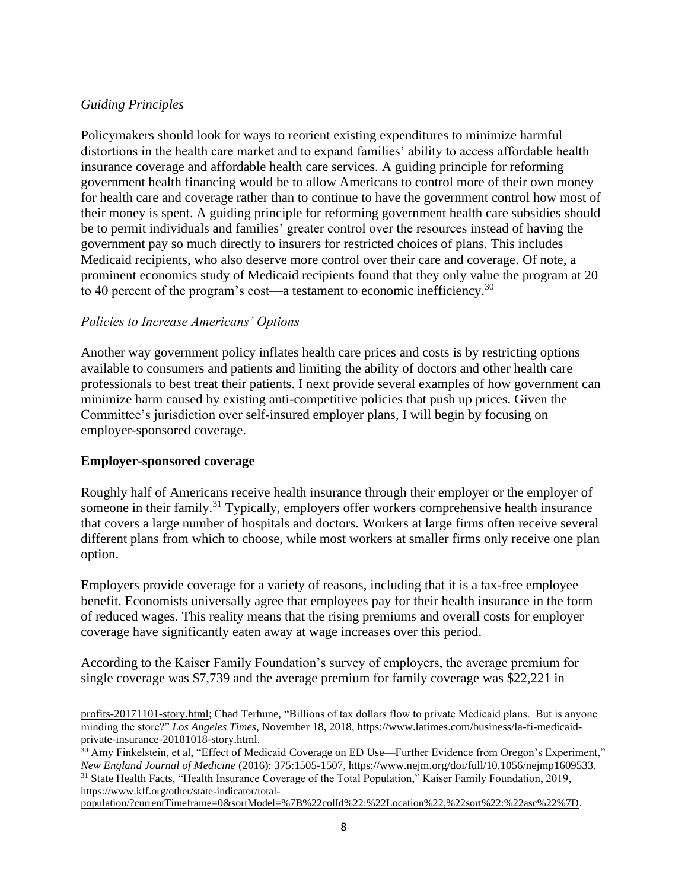### *Guiding Principles*

Policymakers should look for ways to reorient existing expenditures to minimize harmful distortions in the health care market and to expand families' ability to access affordable health insurance coverage and affordable health care services. A guiding principle for reforming government health financing would be to allow Americans to control more of their own money for health care and coverage rather than to continue to have the government control how most of their money is spent. A guiding principle for reforming government health care subsidies should be to permit individuals and families' greater control over the resources instead of having the government pay so much directly to insurers for restricted choices of plans. This includes Medicaid recipients, who also deserve more control over their care and coverage. Of note, a prominent economics study of Medicaid recipients found that they only value the program at 20 to 40 percent of the program's cost—a testament to economic inefficiency.<sup>30</sup>

#### *Policies to Increase Americans' Options*

Another way government policy inflates health care prices and costs is by restricting options available to consumers and patients and limiting the ability of doctors and other health care professionals to best treat their patients. I next provide several examples of how government can minimize harm caused by existing anti-competitive policies that push up prices. Given the Committee's jurisdiction over self-insured employer plans, I will begin by focusing on employer-sponsored coverage.

#### **Employer-sponsored coverage**

Roughly half of Americans receive health insurance through their employer or the employer of someone in their family.<sup>31</sup> Typically, employers offer workers comprehensive health insurance that covers a large number of hospitals and doctors. Workers at large firms often receive several different plans from which to choose, while most workers at smaller firms only receive one plan option.

Employers provide coverage for a variety of reasons, including that it is a tax-free employee benefit. Economists universally agree that employees pay for their health insurance in the form of reduced wages. This reality means that the rising premiums and overall costs for employer coverage have significantly eaten away at wage increases over this period.

According to the Kaiser Family Foundation's survey of employers, the average premium for single coverage was \$7,739 and the average premium for family coverage was \$22,221 in

[profits-20171101-story.html;](https://www.latimes.com/business/la-fi-medicaid-insurance-profits-20171101-story.html) Chad Terhune, "Billions of tax dollars flow to private Medicaid plans. But is anyone minding the store?" *Los Angeles Times*, November 18, 2018, [https://www.latimes.com/business/la-fi-medicaid](https://www.latimes.com/business/la-fi-medicaid-private-insurance-20181018-story.html)[private-insurance-20181018-story.html.](https://www.latimes.com/business/la-fi-medicaid-private-insurance-20181018-story.html)

<sup>&</sup>lt;sup>30</sup> Amy Finkelstein, et al, "Effect of Medicaid Coverage on ED Use—Further Evidence from Oregon's Experiment," *New England Journal of Medicine* (2016): 375:1505-1507, [https://www.nejm.org/doi/full/10.1056/nejmp1609533.](https://www.nejm.org/doi/full/10.1056/nejmp1609533) 

<sup>&</sup>lt;sup>31</sup> State Health Facts, "Health Insurance Coverage of the Total Population," Kaiser Family Foundation, 2019, [https://www.kff.org/other/state-indicator/total-](https://www.kff.org/other/state-indicator/total-population/?currentTimeframe=0&sortModel=%7B%22colId%22:%22Location%22,%22sort%22:%22asc%22%7D)

[population/?currentTimeframe=0&sortModel=%7B%22colId%22:%22Location%22,%22sort%22:%22asc%22%7D.](https://www.kff.org/other/state-indicator/total-population/?currentTimeframe=0&sortModel=%7B%22colId%22:%22Location%22,%22sort%22:%22asc%22%7D)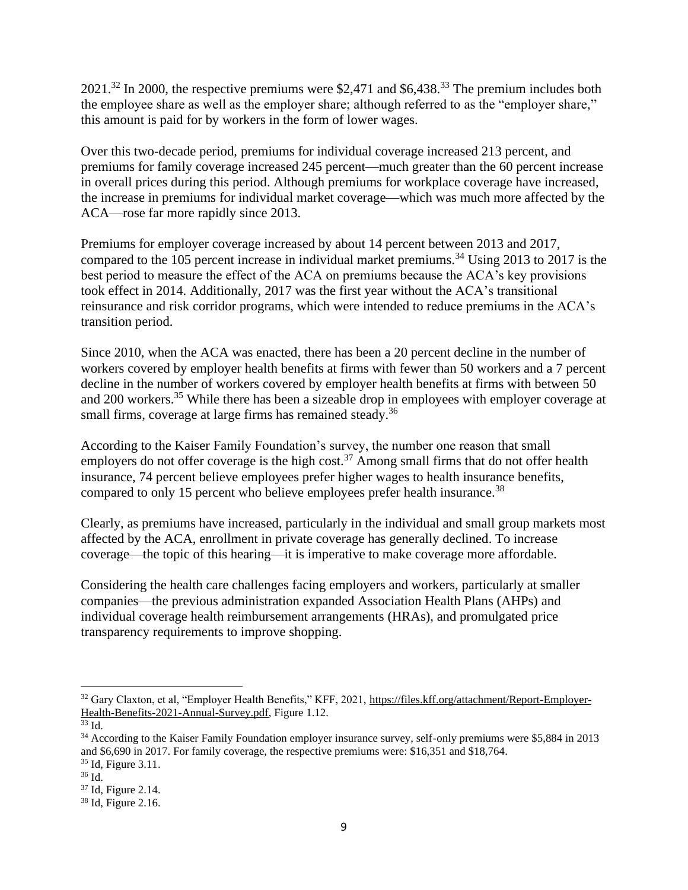$2021$ <sup>32</sup> In 2000, the respective premiums were \$2,471 and \$6,438<sup>33</sup>. The premium includes both the employee share as well as the employer share; although referred to as the "employer share," this amount is paid for by workers in the form of lower wages.

Over this two-decade period, premiums for individual coverage increased 213 percent, and premiums for family coverage increased 245 percent—much greater than the 60 percent increase in overall prices during this period. Although premiums for workplace coverage have increased, the increase in premiums for individual market coverage—which was much more affected by the ACA—rose far more rapidly since 2013.

Premiums for employer coverage increased by about 14 percent between 2013 and 2017, compared to the 105 percent increase in individual market premiums.<sup>34</sup> Using 2013 to 2017 is the best period to measure the effect of the ACA on premiums because the ACA's key provisions took effect in 2014. Additionally, 2017 was the first year without the ACA's transitional reinsurance and risk corridor programs, which were intended to reduce premiums in the ACA's transition period.

Since 2010, when the ACA was enacted, there has been a 20 percent decline in the number of workers covered by employer health benefits at firms with fewer than 50 workers and a 7 percent decline in the number of workers covered by employer health benefits at firms with between 50 and 200 workers.<sup>35</sup> While there has been a sizeable drop in employees with employer coverage at small firms, coverage at large firms has remained steady.<sup>36</sup>

According to the Kaiser Family Foundation's survey, the number one reason that small employers do not offer coverage is the high cost.<sup>37</sup> Among small firms that do not offer health insurance, 74 percent believe employees prefer higher wages to health insurance benefits, compared to only 15 percent who believe employees prefer health insurance.<sup>38</sup>

Clearly, as premiums have increased, particularly in the individual and small group markets most affected by the ACA, enrollment in private coverage has generally declined. To increase coverage—the topic of this hearing—it is imperative to make coverage more affordable.

Considering the health care challenges facing employers and workers, particularly at smaller companies—the previous administration expanded Association Health Plans (AHPs) and individual coverage health reimbursement arrangements (HRAs), and promulgated price transparency requirements to improve shopping.

<sup>&</sup>lt;sup>32</sup> Gary Claxton, et al, "Employer Health Benefits," KFF, 2021[, https://files.kff.org/attachment/Report-Employer-](https://files.kff.org/attachment/Report-Employer-Health-Benefits-2021-Annual-Survey.pdf)[Health-Benefits-2021-Annual-Survey.pdf,](https://files.kff.org/attachment/Report-Employer-Health-Benefits-2021-Annual-Survey.pdf) Figure 1.12.

 $33$  Id.

<sup>34</sup> According to the Kaiser Family Foundation employer insurance survey, self-only premiums were \$5,884 in 2013 and \$6,690 in 2017. For family coverage, the respective premiums were: \$16,351 and \$18,764. <sup>35</sup> Id, Figure 3.11.

<sup>36</sup> Id.

<sup>37</sup> Id, Figure 2.14.

<sup>38</sup> Id, Figure 2.16.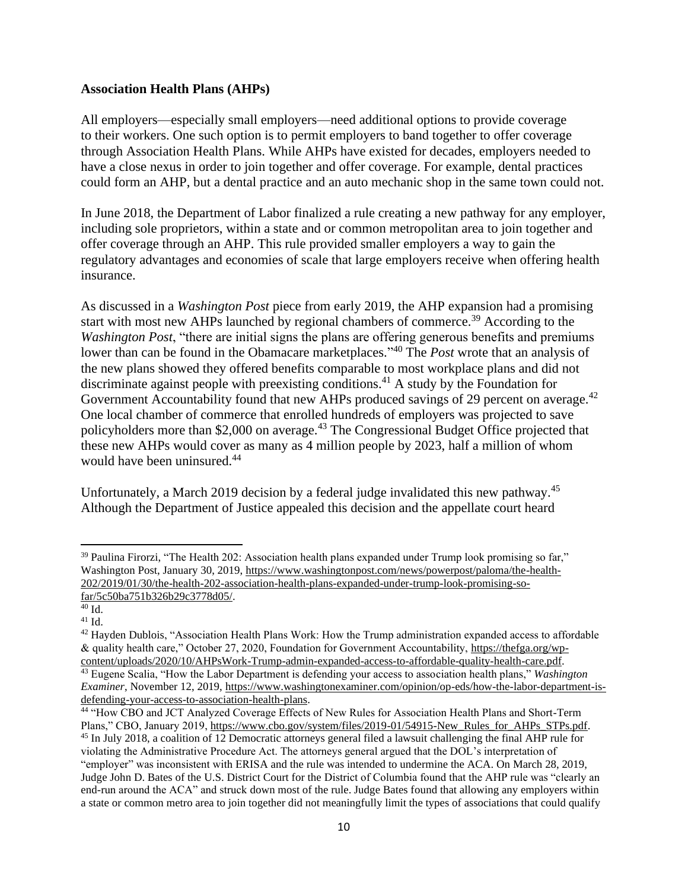#### **Association Health Plans (AHPs)**

All employers—especially small employers—need additional options to provide coverage to their workers. One such option is to permit employers to band together to offer coverage through Association Health Plans. While AHPs have existed for decades, employers needed to have a close nexus in order to join together and offer coverage. For example, dental practices could form an AHP, but a dental practice and an auto mechanic shop in the same town could not.

In June 2018, the Department of Labor finalized a rule creating a new pathway for any employer, including sole proprietors, within a state and or common metropolitan area to join together and offer coverage through an AHP. This rule provided smaller employers a way to gain the regulatory advantages and economies of scale that large employers receive when offering health insurance.

As discussed in a *Washington Post* piece from early 2019, the AHP expansion had a promising start with most new AHPs launched by regional chambers of commerce.<sup>39</sup> According to the *Washington Post*, "there are initial signs the plans are offering generous benefits and premiums lower than can be found in the Obamacare marketplaces."<sup>40</sup> The *Post* wrote that an analysis of the new plans showed they offered benefits comparable to most workplace plans and did not discriminate against people with preexisting conditions.<sup>41</sup> A study by the Foundation for Government Accountability found that new AHPs produced savings of 29 percent on average.<sup>42</sup> One local chamber of commerce that enrolled hundreds of employers was projected to save policyholders more than \$2,000 on average.<sup>43</sup> The Congressional Budget Office projected that these new AHPs would cover as many as 4 million people by 2023, half a million of whom would have been uninsured.<sup>44</sup>

Unfortunately, a March 2019 decision by a federal judge invalidated this new pathway.<sup>45</sup> Although the Department of Justice appealed this decision and the appellate court heard

<sup>&</sup>lt;sup>39</sup> Paulina Firorzi, "The Health 202: Association health plans expanded under Trump look promising so far," Washington Post, January 30, 2019[, https://www.washingtonpost.com/news/powerpost/paloma/the-health-](https://www.washingtonpost.com/news/powerpost/paloma/the-health-202/2019/01/30/the-health-202-association-health-plans-expanded-under-trump-look-promising-so-far/5c50ba751b326b29c3778d05/)[202/2019/01/30/the-health-202-association-health-plans-expanded-under-trump-look-promising-so](https://www.washingtonpost.com/news/powerpost/paloma/the-health-202/2019/01/30/the-health-202-association-health-plans-expanded-under-trump-look-promising-so-far/5c50ba751b326b29c3778d05/)[far/5c50ba751b326b29c3778d05/.](https://www.washingtonpost.com/news/powerpost/paloma/the-health-202/2019/01/30/the-health-202-association-health-plans-expanded-under-trump-look-promising-so-far/5c50ba751b326b29c3778d05/)

 $40$  Id.

 $41$  Id.

 $42$  Hayden Dublois, "Association Health Plans Work: How the Trump administration expanded access to affordable & quality health care," October 27, 2020, Foundation for Government Accountability, [https://thefga.org/wp](https://thefga.org/wp-content/uploads/2020/10/AHPsWork-Trump-admin-expanded-access-to-affordable-quality-health-care.pdf)[content/uploads/2020/10/AHPsWork-Trump-admin-expanded-access-to-affordable-quality-health-care.pdf.](https://thefga.org/wp-content/uploads/2020/10/AHPsWork-Trump-admin-expanded-access-to-affordable-quality-health-care.pdf) <sup>43</sup> Eugene Scalia, "How the Labor Department is defending your access to association health plans," *Washington Examiner*, November 12, 2019, [https://www.washingtonexaminer.com/opinion/op-eds/how-the-labor-department-is](https://www.washingtonexaminer.com/opinion/op-eds/how-the-labor-department-is-defending-your-access-to-association-health-plans)[defending-your-access-to-association-health-plans.](https://www.washingtonexaminer.com/opinion/op-eds/how-the-labor-department-is-defending-your-access-to-association-health-plans)

<sup>44</sup> "How CBO and JCT Analyzed Coverage Effects of New Rules for Association Health Plans and Short-Term Plans," CBO, January 2019, [https://www.cbo.gov/system/files/2019-01/54915-New\\_Rules\\_for\\_AHPs\\_STPs.pdf.](https://www.cbo.gov/system/files/2019-01/54915-New_Rules_for_AHPs_STPs.pdf)

<sup>45</sup> In July 2018, a coalition of 12 Democratic attorneys general filed a lawsuit challenging the final AHP rule for violating the Administrative Procedure Act. The attorneys general argued that the DOL's interpretation of "employer" was inconsistent with ERISA and the rule was intended to undermine the ACA. On March 28, 2019, Judge John D. Bates of the U.S. District Court for the District of Columbia found that the AHP rule was "clearly an end-run around the ACA" and struck down most of the rule. Judge Bates found that allowing any employers within a state or common metro area to join together did not meaningfully limit the types of associations that could qualify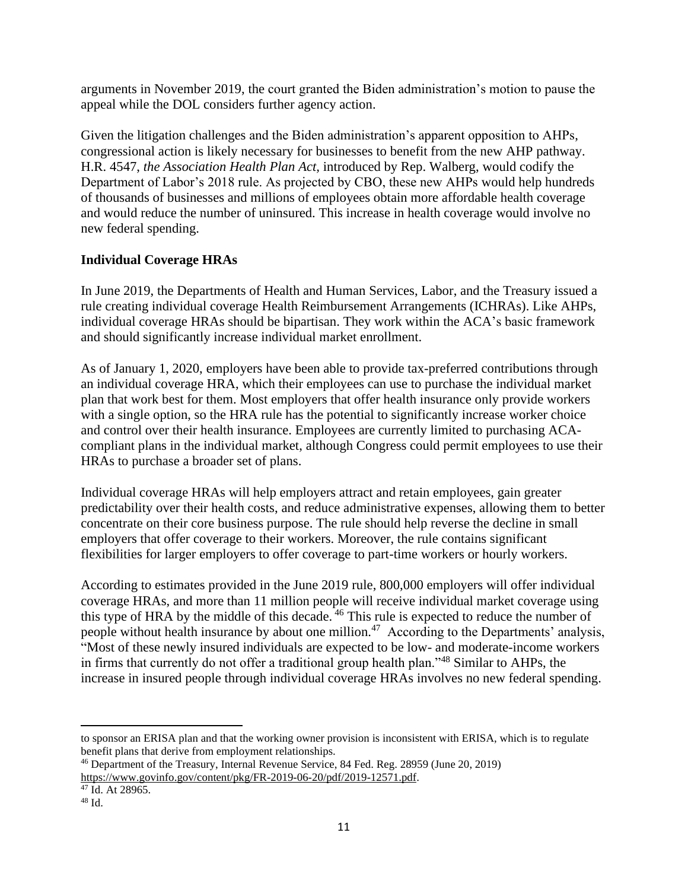arguments in November 2019, the court granted the Biden administration's motion to pause the appeal while the DOL considers further agency action.

Given the litigation challenges and the Biden administration's apparent opposition to AHPs, congressional action is likely necessary for businesses to benefit from the new AHP pathway. H.R. 4547, *the Association Health Plan Act,* introduced by Rep. Walberg, would codify the Department of Labor's 2018 rule. As projected by CBO, these new AHPs would help hundreds of thousands of businesses and millions of employees obtain more affordable health coverage and would reduce the number of uninsured. This increase in health coverage would involve no new federal spending.

# **Individual Coverage HRAs**

In June 2019, the Departments of Health and Human Services, Labor, and the Treasury issued a rule creating individual coverage Health Reimbursement Arrangements (ICHRAs). Like AHPs, individual coverage HRAs should be bipartisan. They work within the ACA's basic framework and should significantly increase individual market enrollment.

As of January 1, 2020, employers have been able to provide tax-preferred contributions through an individual coverage HRA, which their employees can use to purchase the individual market plan that work best for them. Most employers that offer health insurance only provide workers with a single option, so the HRA rule has the potential to significantly increase worker choice and control over their health insurance. Employees are currently limited to purchasing ACAcompliant plans in the individual market, although Congress could permit employees to use their HRAs to purchase a broader set of plans.

Individual coverage HRAs will help employers attract and retain employees, gain greater predictability over their health costs, and reduce administrative expenses, allowing them to better concentrate on their core business purpose. The rule should help reverse the decline in small employers that offer coverage to their workers. Moreover, the rule contains significant flexibilities for larger employers to offer coverage to part-time workers or hourly workers.

According to estimates provided in the June 2019 rule, 800,000 employers will offer individual coverage HRAs, and more than 11 million people will receive individual market coverage using this type of HRA by the middle of this decade. <sup>46</sup> This rule is expected to reduce the number of people without health insurance by about one million.<sup>47</sup> According to the Departments' analysis, "Most of these newly insured individuals are expected to be low- and moderate-income workers in firms that currently do not offer a traditional group health plan."<sup>48</sup> Similar to AHPs, the increase in insured people through individual coverage HRAs involves no new federal spending.

to sponsor an ERISA plan and that the working owner provision is inconsistent with ERISA, which is to regulate benefit plans that derive from employment relationships.

<sup>46</sup> Department of the Treasury, Internal Revenue Service, 84 Fed. Reg. 28959 (June 20, 2019) [https://www.govinfo.gov/content/pkg/FR-2019-06-20/pdf/2019-12571.pdf.](https://www.govinfo.gov/content/pkg/FR-2019-06-20/pdf/2019-12571.pdf)

<sup>47</sup> Id. At 28965.

<sup>48</sup> Id.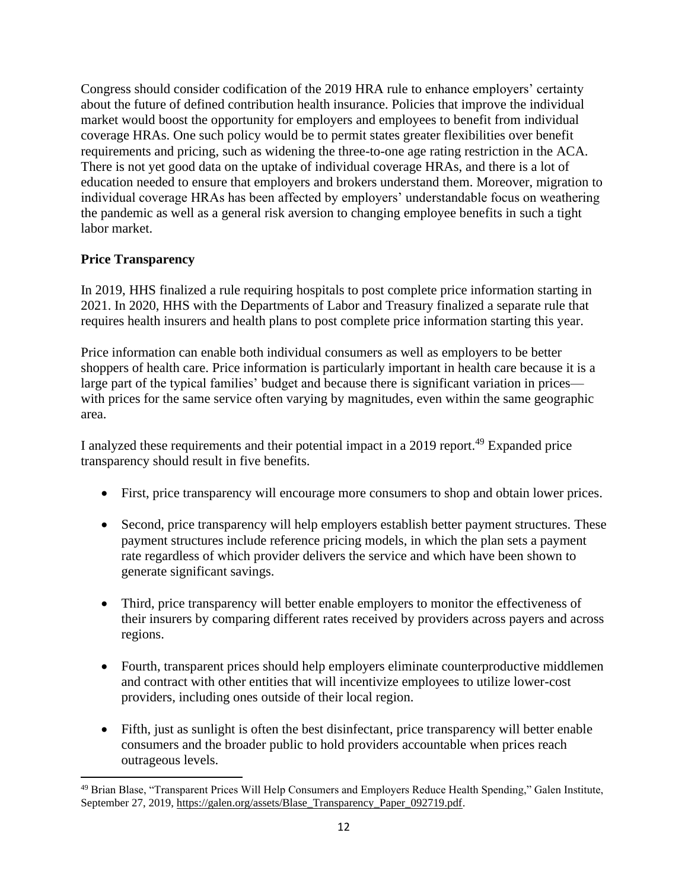Congress should consider codification of the 2019 HRA rule to enhance employers' certainty about the future of defined contribution health insurance. Policies that improve the individual market would boost the opportunity for employers and employees to benefit from individual coverage HRAs. One such policy would be to permit states greater flexibilities over benefit requirements and pricing, such as widening the three-to-one age rating restriction in the ACA. There is not yet good data on the uptake of individual coverage HRAs, and there is a lot of education needed to ensure that employers and brokers understand them. Moreover, migration to individual coverage HRAs has been affected by employers' understandable focus on weathering the pandemic as well as a general risk aversion to changing employee benefits in such a tight labor market.

# **Price Transparency**

In 2019, HHS finalized a rule requiring hospitals to post complete price information starting in 2021. In 2020, HHS with the Departments of Labor and Treasury finalized a separate rule that requires health insurers and health plans to post complete price information starting this year.

Price information can enable both individual consumers as well as employers to be better shoppers of health care. Price information is particularly important in health care because it is a large part of the typical families' budget and because there is significant variation in prices with prices for the same service often varying by magnitudes, even within the same geographic area.

I analyzed these requirements and their potential impact in a 2019 report.<sup>49</sup> Expanded price transparency should result in five benefits.

- First, price transparency will encourage more consumers to shop and obtain lower prices.
- Second, price transparency will help employers establish better payment structures. These payment structures include reference pricing models, in which the plan sets a payment rate regardless of which provider delivers the service and which have been shown to generate significant savings.
- Third, price transparency will better enable employers to monitor the effectiveness of their insurers by comparing different rates received by providers across payers and across regions.
- Fourth, transparent prices should help employers eliminate counterproductive middlemen and contract with other entities that will incentivize employees to utilize lower-cost providers, including ones outside of their local region.
- Fifth, just as sunlight is often the best disinfectant, price transparency will better enable consumers and the broader public to hold providers accountable when prices reach outrageous levels.

<sup>&</sup>lt;sup>49</sup> Brian Blase, "Transparent Prices Will Help Consumers and Employers Reduce Health Spending," Galen Institute, September 27, 2019, [https://galen.org/assets/Blase\\_Transparency\\_Paper\\_092719.pdf.](https://galen.org/assets/Blase_Transparency_Paper_092719.pdf)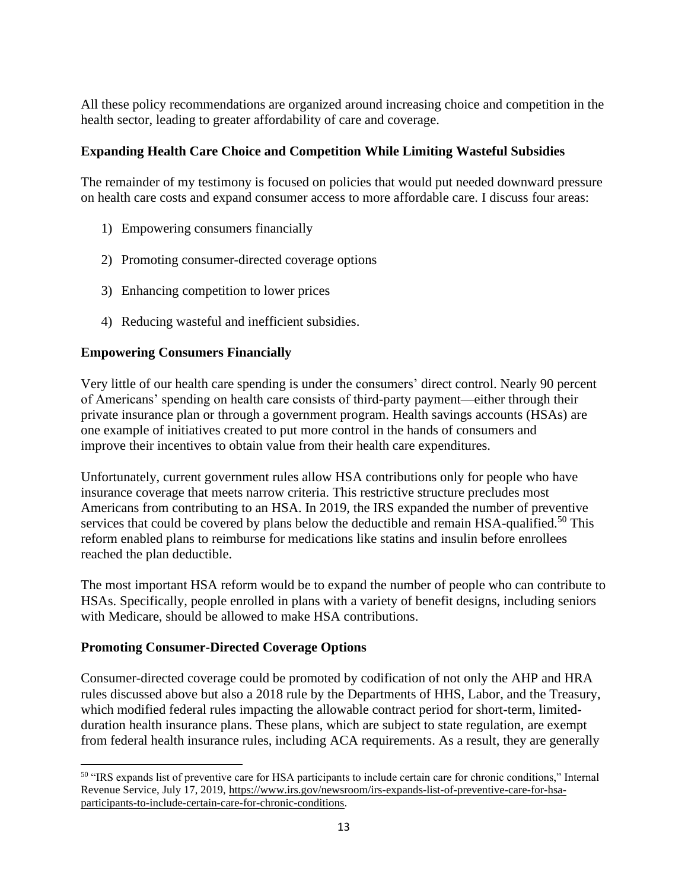All these policy recommendations are organized around increasing choice and competition in the health sector, leading to greater affordability of care and coverage.

# **Expanding Health Care Choice and Competition While Limiting Wasteful Subsidies**

The remainder of my testimony is focused on policies that would put needed downward pressure on health care costs and expand consumer access to more affordable care. I discuss four areas:

- 1) Empowering consumers financially
- 2) Promoting consumer-directed coverage options
- 3) Enhancing competition to lower prices
- 4) Reducing wasteful and inefficient subsidies.

## **Empowering Consumers Financially**

Very little of our health care spending is under the consumers' direct control. Nearly 90 percent of Americans' spending on health care consists of third-party payment—either through their private insurance plan or through a government program. Health savings accounts (HSAs) are one example of initiatives created to put more control in the hands of consumers and improve their incentives to obtain value from their health care expenditures.

Unfortunately, current government rules allow HSA contributions only for people who have insurance coverage that meets narrow criteria. This restrictive structure precludes most Americans from contributing to an HSA. In 2019, the IRS expanded the number of preventive services that could be covered by plans below the deductible and remain HSA-qualified.<sup>50</sup> This reform enabled plans to reimburse for medications like statins and insulin before enrollees reached the plan deductible.

The most important HSA reform would be to expand the number of people who can contribute to HSAs. Specifically, people enrolled in plans with a variety of benefit designs, including seniors with Medicare, should be allowed to make HSA contributions.

## **Promoting Consumer-Directed Coverage Options**

Consumer-directed coverage could be promoted by codification of not only the AHP and HRA rules discussed above but also a 2018 rule by the Departments of HHS, Labor, and the Treasury, which modified federal rules impacting the allowable contract period for short-term, limitedduration health insurance plans. These plans, which are subject to state regulation, are exempt from federal health insurance rules, including ACA requirements. As a result, they are generally

<sup>50</sup> "IRS expands list of preventive care for HSA participants to include certain care for chronic conditions," Internal Revenue Service, July 17, 2019[, https://www.irs.gov/newsroom/irs-expands-list-of-preventive-care-for-hsa](https://www.irs.gov/newsroom/irs-expands-list-of-preventive-care-for-hsa-participants-to-include-certain-care-for-chronic-conditions)[participants-to-include-certain-care-for-chronic-conditions.](https://www.irs.gov/newsroom/irs-expands-list-of-preventive-care-for-hsa-participants-to-include-certain-care-for-chronic-conditions)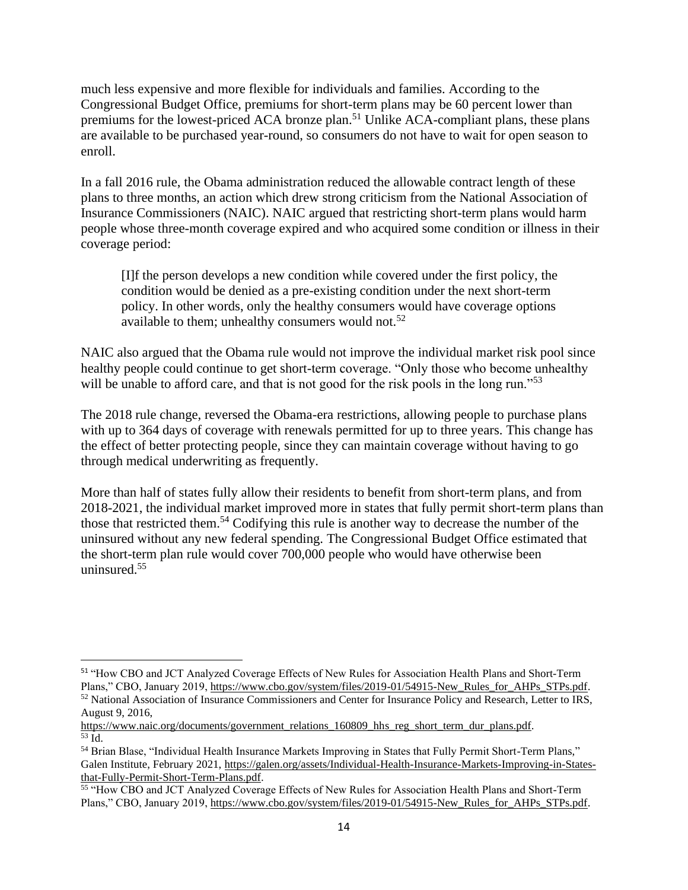much less expensive and more flexible for individuals and families. According to the Congressional Budget Office, premiums for short-term plans may be 60 percent lower than premiums for the lowest-priced ACA bronze plan.<sup>51</sup> Unlike ACA-compliant plans, these plans are available to be purchased year-round, so consumers do not have to wait for open season to enroll.

In a fall 2016 rule, the Obama administration reduced the allowable contract length of these plans to three months, an action which drew strong criticism from the National Association of Insurance Commissioners (NAIC). NAIC argued that restricting short-term plans would harm people whose three-month coverage expired and who acquired some condition or illness in their coverage period:

[I]f the person develops a new condition while covered under the first policy, the condition would be denied as a pre-existing condition under the next short-term policy. In other words, only the healthy consumers would have coverage options available to them; unhealthy consumers would not.<sup>52</sup>

NAIC also argued that the Obama rule would not improve the individual market risk pool since healthy people could continue to get short-term coverage. "Only those who become unhealthy will be unable to afford care, and that is not good for the risk pools in the long run."<sup>53</sup>

The 2018 rule change, reversed the Obama-era restrictions, allowing people to purchase plans with up to 364 days of coverage with renewals permitted for up to three years. This change has the effect of better protecting people, since they can maintain coverage without having to go through medical underwriting as frequently.

More than half of states fully allow their residents to benefit from short-term plans, and from 2018-2021, the individual market improved more in states that fully permit short-term plans than those that restricted them.<sup>54</sup> Codifying this rule is another way to decrease the number of the uninsured without any new federal spending. The Congressional Budget Office estimated that the short-term plan rule would cover 700,000 people who would have otherwise been uninsured.<sup>55</sup>

<sup>51</sup> "How CBO and JCT Analyzed Coverage Effects of New Rules for Association Health Plans and Short-Term Plans," CBO, January 2019, [https://www.cbo.gov/system/files/2019-01/54915-New\\_Rules\\_for\\_AHPs\\_STPs.pdf.](https://www.cbo.gov/system/files/2019-01/54915-New_Rules_for_AHPs_STPs.pdf)

<sup>52</sup> National Association of Insurance Commissioners and Center for Insurance Policy and Research, Letter to IRS, August 9, 2016,

https://www.naic.org/documents/government relations 160809 hhs reg short term dur plans.pdf.  $\overline{53}$  Id.

<sup>54</sup> Brian Blase, "Individual Health Insurance Markets Improving in States that Fully Permit Short-Term Plans," Galen Institute, February 2021, [https://galen.org/assets/Individual-Health-Insurance-Markets-Improving-in-States](https://galen.org/assets/Individual-Health-Insurance-Markets-Improving-in-States-that-Fully-Permit-Short-Term-Plans.pdf)[that-Fully-Permit-Short-Term-Plans.pdf.](https://galen.org/assets/Individual-Health-Insurance-Markets-Improving-in-States-that-Fully-Permit-Short-Term-Plans.pdf)

<sup>&</sup>lt;sup>55</sup> "How CBO and JCT Analyzed Coverage Effects of New Rules for Association Health Plans and Short-Term Plans," CBO, January 2019, [https://www.cbo.gov/system/files/2019-01/54915-New\\_Rules\\_for\\_AHPs\\_STPs.pdf.](https://www.cbo.gov/system/files/2019-01/54915-New_Rules_for_AHPs_STPs.pdf)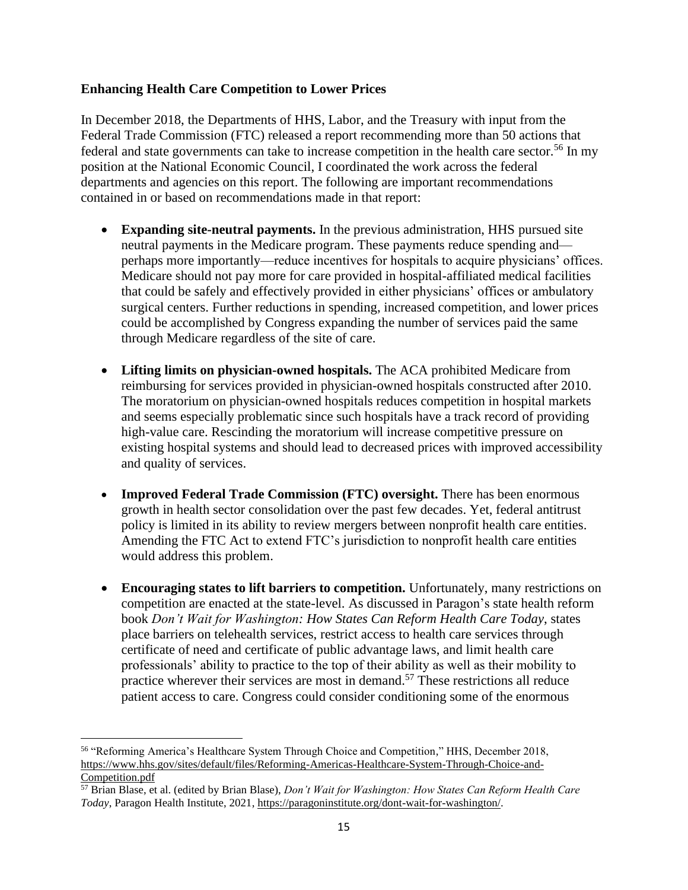### **Enhancing Health Care Competition to Lower Prices**

In December 2018, the Departments of HHS, Labor, and the Treasury with input from the Federal Trade Commission (FTC) released a report recommending more than 50 actions that federal and state governments can take to increase competition in the health care sector.<sup>56</sup> In my position at the National Economic Council, I coordinated the work across the federal departments and agencies on this report. The following are important recommendations contained in or based on recommendations made in that report:

- **Expanding site-neutral payments.** In the previous administration, HHS pursued site neutral payments in the Medicare program. These payments reduce spending and perhaps more importantly—reduce incentives for hospitals to acquire physicians' offices. Medicare should not pay more for care provided in hospital-affiliated medical facilities that could be safely and effectively provided in either physicians' offices or ambulatory surgical centers. Further reductions in spending, increased competition, and lower prices could be accomplished by Congress expanding the number of services paid the same through Medicare regardless of the site of care.
- **Lifting limits on physician-owned hospitals.** The ACA prohibited Medicare from reimbursing for services provided in physician-owned hospitals constructed after 2010. The moratorium on physician-owned hospitals reduces competition in hospital markets and seems especially problematic since such hospitals have a track record of providing high-value care. Rescinding the moratorium will increase competitive pressure on existing hospital systems and should lead to decreased prices with improved accessibility and quality of services.
- **Improved Federal Trade Commission (FTC) oversight.** There has been enormous growth in health sector consolidation over the past few decades. Yet, federal antitrust policy is limited in its ability to review mergers between nonprofit health care entities. Amending the FTC Act to extend FTC's jurisdiction to nonprofit health care entities would address this problem.
- **Encouraging states to lift barriers to competition.** Unfortunately, many restrictions on competition are enacted at the state-level. As discussed in Paragon's state health reform book *Don't Wait for Washington: How States Can Reform Health Care Today*, states place barriers on telehealth services, restrict access to health care services through certificate of need and certificate of public advantage laws, and limit health care professionals' ability to practice to the top of their ability as well as their mobility to practice wherever their services are most in demand.<sup>57</sup> These restrictions all reduce patient access to care. Congress could consider conditioning some of the enormous

<sup>56</sup> "Reforming America's Healthcare System Through Choice and Competition," HHS, December 2018, [https://www.hhs.gov/sites/default/files/Reforming-Americas-Healthcare-System-Through-Choice-and-](https://www.hhs.gov/sites/default/files/Reforming-Americas-Healthcare-System-Through-Choice-and-Competition.pdf)[Competition.pdf](https://www.hhs.gov/sites/default/files/Reforming-Americas-Healthcare-System-Through-Choice-and-Competition.pdf)

<sup>57</sup> Brian Blase, et al. (edited by Brian Blase), *Don't Wait for Washington: How States Can Reform Health Care Today*, Paragon Health Institute, 2021, [https://paragoninstitute.org/dont-wait-for-washington/.](https://paragoninstitute.org/dont-wait-for-washington/)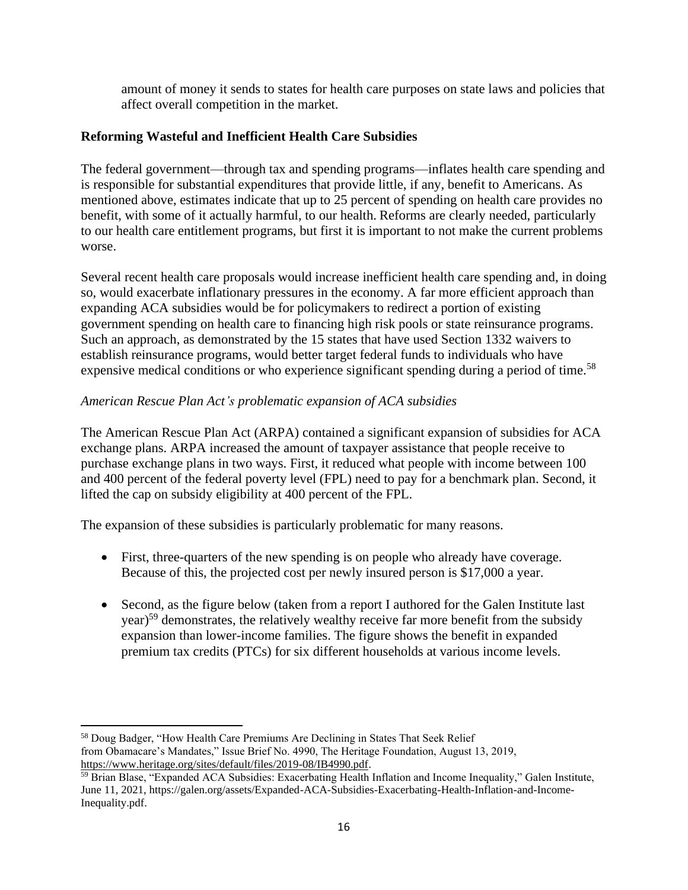amount of money it sends to states for health care purposes on state laws and policies that affect overall competition in the market.

### **Reforming Wasteful and Inefficient Health Care Subsidies**

The federal government—through tax and spending programs—inflates health care spending and is responsible for substantial expenditures that provide little, if any, benefit to Americans. As mentioned above, estimates indicate that up to 25 percent of spending on health care provides no benefit, with some of it actually harmful, to our health. Reforms are clearly needed, particularly to our health care entitlement programs, but first it is important to not make the current problems worse.

Several recent health care proposals would increase inefficient health care spending and, in doing so, would exacerbate inflationary pressures in the economy. A far more efficient approach than expanding ACA subsidies would be for policymakers to redirect a portion of existing government spending on health care to financing high risk pools or state reinsurance programs. Such an approach, as demonstrated by the 15 states that have used Section 1332 waivers to establish reinsurance programs, would better target federal funds to individuals who have expensive medical conditions or who experience significant spending during a period of time.<sup>58</sup>

### *American Rescue Plan Act's problematic expansion of ACA subsidies*

The American Rescue Plan Act (ARPA) contained a significant expansion of subsidies for ACA exchange plans. ARPA increased the amount of taxpayer assistance that people receive to purchase exchange plans in two ways. First, it reduced what people with income between 100 and 400 percent of the federal poverty level (FPL) need to pay for a benchmark plan. Second, it lifted the cap on subsidy eligibility at 400 percent of the FPL.

The expansion of these subsidies is particularly problematic for many reasons.

- First, three-quarters of the new spending is on people who already have coverage. Because of this, the projected cost per newly insured person is \$17,000 a year.
- Second, as the figure below (taken from a report I authored for the Galen Institute last year)<sup>59</sup> demonstrates, the relatively wealthy receive far more benefit from the subsidy expansion than lower-income families. The figure shows the benefit in expanded premium tax credits (PTCs) for six different households at various income levels.

<sup>58</sup> Doug Badger, "How Health Care Premiums Are Declining in States That Seek Relief from Obamacare's Mandates," Issue Brief No. 4990, The Heritage Foundation, August 13, 2019, [https://www.heritage.org/sites/default/files/2019-08/IB4990.pdf.](https://www.heritage.org/sites/default/files/2019-08/IB4990.pdf)

<sup>&</sup>lt;sup>59</sup> Brian Blase, "Expanded ACA Subsidies: Exacerbating Health Inflation and Income Inequality," Galen Institute, June 11, 2021, https://galen.org/assets/Expanded-ACA-Subsidies-Exacerbating-Health-Inflation-and-Income-Inequality.pdf.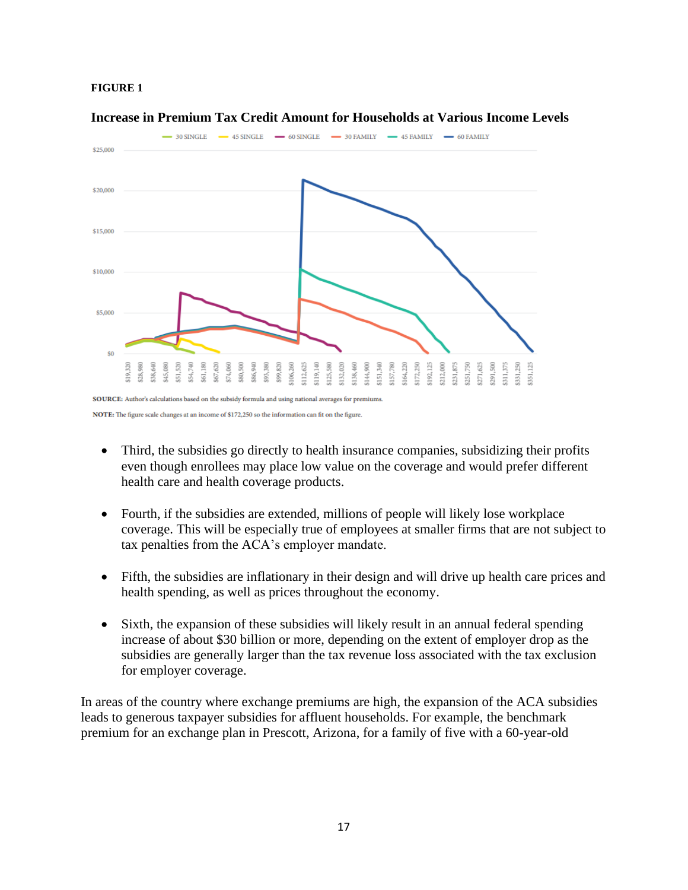#### **FIGURE 1**



**Increase in Premium Tax Credit Amount for Households at Various Income Levels**

NOTE: The figure scale changes at an income of \$172,250 so the information can fit on the figure.

- Third, the subsidies go directly to health insurance companies, subsidizing their profits even though enrollees may place low value on the coverage and would prefer different health care and health coverage products.
- Fourth, if the subsidies are extended, millions of people will likely lose workplace coverage. This will be especially true of employees at smaller firms that are not subject to tax penalties from the ACA's employer mandate.
- Fifth, the subsidies are inflationary in their design and will drive up health care prices and health spending, as well as prices throughout the economy.
- Sixth, the expansion of these subsidies will likely result in an annual federal spending increase of about \$30 billion or more, depending on the extent of employer drop as the subsidies are generally larger than the tax revenue loss associated with the tax exclusion for employer coverage.

In areas of the country where exchange premiums are high, the expansion of the ACA subsidies leads to generous taxpayer subsidies for affluent households. For example, the benchmark premium for an exchange plan in Prescott, Arizona, for a family of five with a 60-year-old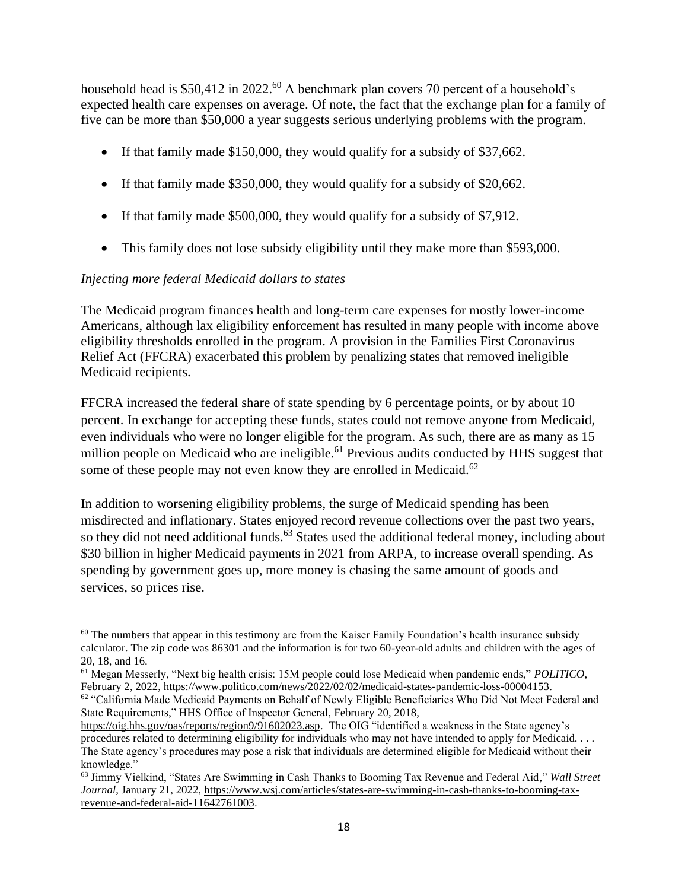household head is \$50,412 in 2022.<sup>60</sup> A benchmark plan covers 70 percent of a household's expected health care expenses on average. Of note, the fact that the exchange plan for a family of five can be more than \$50,000 a year suggests serious underlying problems with the program.

- If that family made \$150,000, they would qualify for a subsidy of \$37,662.
- If that family made \$350,000, they would qualify for a subsidy of \$20,662.
- If that family made \$500,000, they would qualify for a subsidy of \$7,912.
- This family does not lose subsidy eligibility until they make more than \$593,000.

## *Injecting more federal Medicaid dollars to states*

The Medicaid program finances health and long-term care expenses for mostly lower-income Americans, although lax eligibility enforcement has resulted in many people with income above eligibility thresholds enrolled in the program. A provision in the Families First Coronavirus Relief Act (FFCRA) exacerbated this problem by penalizing states that removed ineligible Medicaid recipients.

FFCRA increased the federal share of state spending by 6 percentage points, or by about 10 percent. In exchange for accepting these funds, states could not remove anyone from Medicaid, even individuals who were no longer eligible for the program. As such, there are as many as 15 million people on Medicaid who are ineligible.<sup>61</sup> Previous audits conducted by HHS suggest that some of these people may not even know they are enrolled in Medicaid.<sup>62</sup>

In addition to worsening eligibility problems, the surge of Medicaid spending has been misdirected and inflationary. States enjoyed record revenue collections over the past two years, so they did not need additional funds.<sup>63</sup> States used the additional federal money, including about \$30 billion in higher Medicaid payments in 2021 from ARPA, to increase overall spending. As spending by government goes up, more money is chasing the same amount of goods and services, so prices rise.

<sup>&</sup>lt;sup>60</sup> The numbers that appear in this testimony are from the Kaiser Family Foundation's health insurance subsidy calculator. The zip code was 86301 and the information is for two 60-year-old adults and children with the ages of 20, 18, and 16.

<sup>61</sup> Megan Messerly, "Next big health crisis: 15M people could lose Medicaid when pandemic ends," *POLITICO*, February 2, 2022, [https://www.politico.com/news/2022/02/02/medicaid-states-pandemic-loss-00004153.](https://www.politico.com/news/2022/02/02/medicaid-states-pandemic-loss-00004153)

<sup>&</sup>lt;sup>62</sup> "California Made Medicaid Payments on Behalf of Newly Eligible Beneficiaries Who Did Not Meet Federal and State Requirements," HHS Office of Inspector General, February 20, 2018,

[https://oig.hhs.gov/oas/reports/region9/91602023.asp.](https://oig.hhs.gov/oas/reports/region9/91602023.asp) The OIG "identified a weakness in the State agency's procedures related to determining eligibility for individuals who may not have intended to apply for Medicaid. . . . The State agency's procedures may pose a risk that individuals are determined eligible for Medicaid without their knowledge."

<sup>63</sup> Jimmy Vielkind, "States Are Swimming in Cash Thanks to Booming Tax Revenue and Federal Aid," *Wall Street Journal*, January 21, 2022[, https://www.wsj.com/articles/states-are-swimming-in-cash-thanks-to-booming-tax](https://www.wsj.com/articles/states-are-swimming-in-cash-thanks-to-booming-tax-revenue-and-federal-aid-11642761003)[revenue-and-federal-aid-11642761003.](https://www.wsj.com/articles/states-are-swimming-in-cash-thanks-to-booming-tax-revenue-and-federal-aid-11642761003)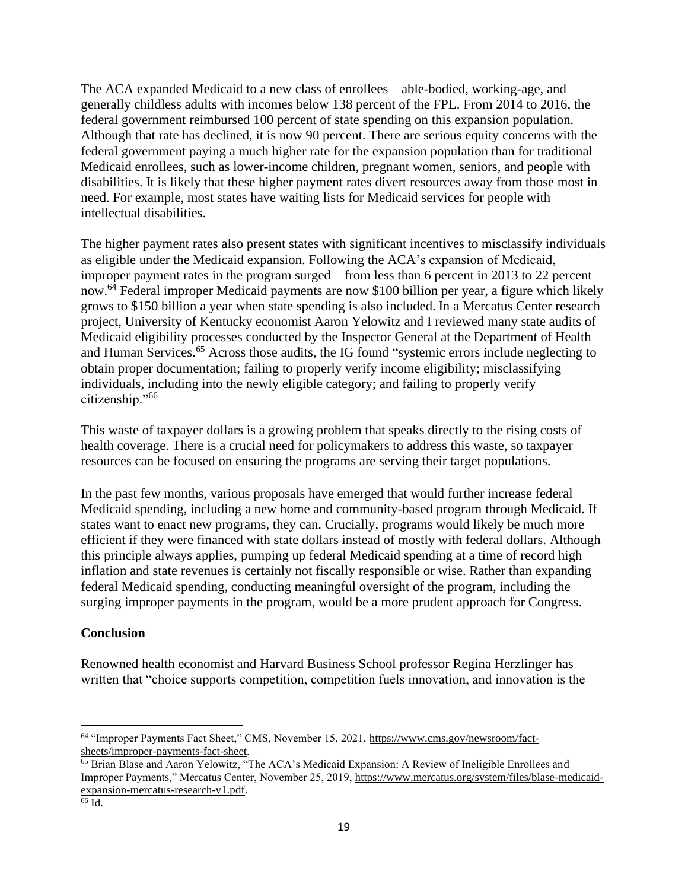The ACA expanded Medicaid to a new class of enrollees—able-bodied, working-age, and generally childless adults with incomes below 138 percent of the FPL. From 2014 to 2016, the federal government reimbursed 100 percent of state spending on this expansion population. Although that rate has declined, it is now 90 percent. There are serious equity concerns with the federal government paying a much higher rate for the expansion population than for traditional Medicaid enrollees, such as lower-income children, pregnant women, seniors, and people with disabilities. It is likely that these higher payment rates divert resources away from those most in need. For example, most states have waiting lists for Medicaid services for people with intellectual disabilities.

The higher payment rates also present states with significant incentives to misclassify individuals as eligible under the Medicaid expansion. Following the ACA's expansion of Medicaid, improper payment rates in the program surged—from less than 6 percent in 2013 to 22 percent now.<sup>64</sup> Federal improper Medicaid payments are now \$100 billion per year, a figure which likely grows to \$150 billion a year when state spending is also included. In a Mercatus Center research project, University of Kentucky economist Aaron Yelowitz and I reviewed many state audits of Medicaid eligibility processes conducted by the Inspector General at the Department of Health and Human Services.<sup>65</sup> Across those audits, the IG found "systemic errors include neglecting to obtain proper documentation; failing to properly verify income eligibility; misclassifying individuals, including into the newly eligible category; and failing to properly verify citizenship."<sup>66</sup>

This waste of taxpayer dollars is a growing problem that speaks directly to the rising costs of health coverage. There is a crucial need for policymakers to address this waste, so taxpayer resources can be focused on ensuring the programs are serving their target populations.

In the past few months, various proposals have emerged that would further increase federal Medicaid spending, including a new home and community-based program through Medicaid. If states want to enact new programs, they can. Crucially, programs would likely be much more efficient if they were financed with state dollars instead of mostly with federal dollars. Although this principle always applies, pumping up federal Medicaid spending at a time of record high inflation and state revenues is certainly not fiscally responsible or wise. Rather than expanding federal Medicaid spending, conducting meaningful oversight of the program, including the surging improper payments in the program, would be a more prudent approach for Congress.

## **Conclusion**

Renowned health economist and Harvard Business School professor Regina Herzlinger has written that "choice supports competition, competition fuels innovation, and innovation is the

<sup>64</sup> "Improper Payments Fact Sheet," CMS, November 15, 2021, [https://www.cms.gov/newsroom/fact](https://www.cms.gov/newsroom/fact-sheets/improper-payments-fact-sheet)[sheets/improper-payments-fact-sheet.](https://www.cms.gov/newsroom/fact-sheets/improper-payments-fact-sheet)

<sup>65</sup> Brian Blase and Aaron Yelowitz, "The ACA's Medicaid Expansion: A Review of Ineligible Enrollees and Improper Payments," Mercatus Center, November 25, 2019, [https://www.mercatus.org/system/files/blase-medicaid](https://www.mercatus.org/system/files/blase-medicaid-expansion-mercatus-research-v1.pdf)[expansion-mercatus-research-v1.pdf.](https://www.mercatus.org/system/files/blase-medicaid-expansion-mercatus-research-v1.pdf)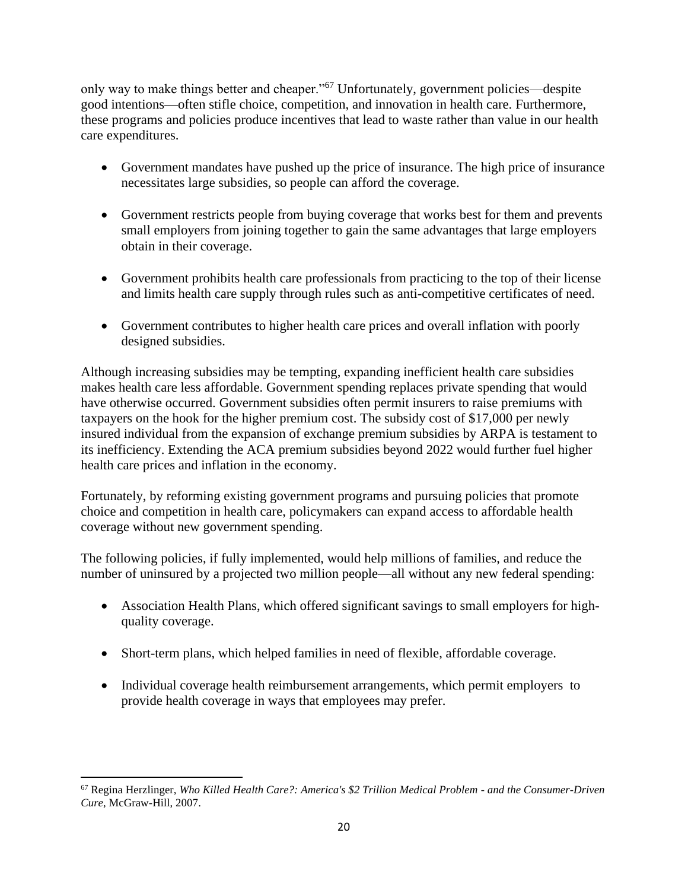only way to make things better and cheaper."<sup>67</sup> Unfortunately, government policies—despite good intentions—often stifle choice, competition, and innovation in health care. Furthermore, these programs and policies produce incentives that lead to waste rather than value in our health care expenditures.

- Government mandates have pushed up the price of insurance. The high price of insurance necessitates large subsidies, so people can afford the coverage.
- Government restricts people from buying coverage that works best for them and prevents small employers from joining together to gain the same advantages that large employers obtain in their coverage.
- Government prohibits health care professionals from practicing to the top of their license and limits health care supply through rules such as anti-competitive certificates of need.
- Government contributes to higher health care prices and overall inflation with poorly designed subsidies.

Although increasing subsidies may be tempting, expanding inefficient health care subsidies makes health care less affordable. Government spending replaces private spending that would have otherwise occurred. Government subsidies often permit insurers to raise premiums with taxpayers on the hook for the higher premium cost. The subsidy cost of \$17,000 per newly insured individual from the expansion of exchange premium subsidies by ARPA is testament to its inefficiency. Extending the ACA premium subsidies beyond 2022 would further fuel higher health care prices and inflation in the economy.

Fortunately, by reforming existing government programs and pursuing policies that promote choice and competition in health care, policymakers can expand access to affordable health coverage without new government spending.

The following policies, if fully implemented, would help millions of families, and reduce the number of uninsured by a projected two million people—all without any new federal spending:

- Association Health Plans, which offered significant savings to small employers for highquality coverage.
- Short-term plans, which helped families in need of flexible, affordable coverage.
- Individual coverage health reimbursement arrangements, which permit employers to provide health coverage in ways that employees may prefer.

<sup>67</sup> Regina Herzlinger, *Who Killed Health Care?: America's \$2 Trillion Medical Problem - and the Consumer-Driven Cure*, McGraw-Hill, 2007.